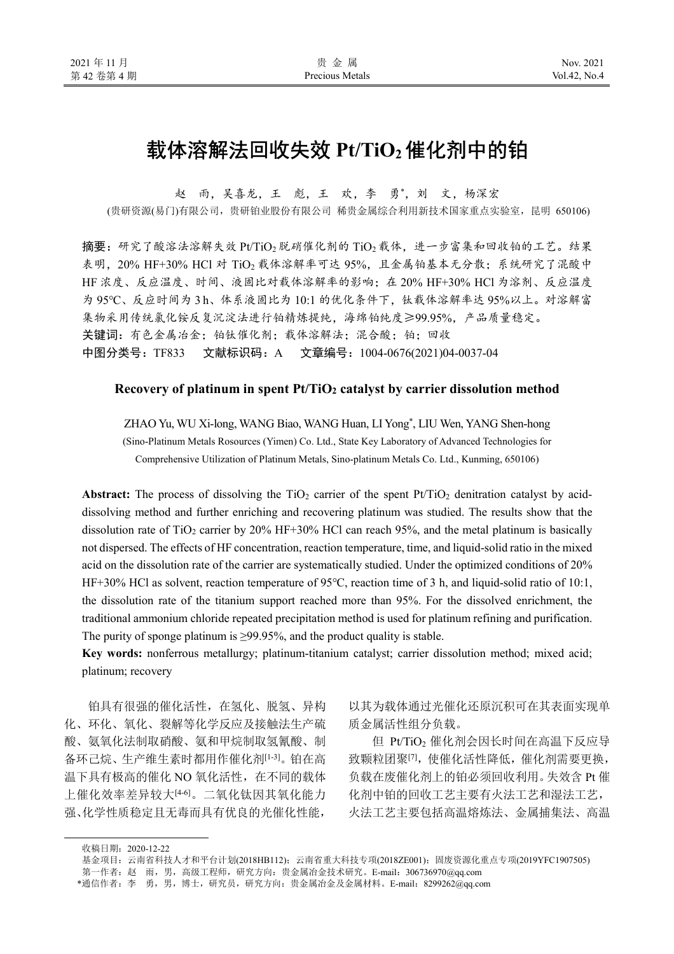# 载体溶解法回收失效 **Pt/TiO2**催化剂中的铂

赵 雨,吴喜龙,王 彪,王 欢,李 勇\*,刘 文,杨深宏 (贵研资源(易门)有限公司,贵研铂业股份有限公司 稀贵金属综合利用新技术国家重点实验室,昆明 650106)

摘要:研究了酸溶法溶解失效 Pt/TiO2 脱硝催化剂的 TiO2 载体,进一步富集和回收铂的工艺。结果 表明, 20% HF+30% HCl 对 TiO<sub>2</sub> 载体溶解率可达 95%, 且金属铂基本无分散; 系统研究了混酸中 HF 浓度、反应温度、时间、液固比对载体溶解率的影响;在 20% HF+30% HCl 为溶剂、反应温度 为 95℃、反应时间为 3h、体系液固比为 10:1 的优化条件下, 钛载体溶解率达 95%以上。对溶解富 集物采用传统氯化铵反复沉淀法进行铂精炼提纯,海绵铂纯度≥99.95%,产品质量稳定。 关键词: 有色金属冶金; 铂钛催化剂; 载体溶解法; 混合酸; 铂; 回收 中图分类号:TF833 文献标识码:A 文章编号:1004-0676(2021)04-0037-04

## **Recovery of platinum in spent Pt/TiO2 catalyst by carrier dissolution method**

ZHAO Yu, WU Xi-long, WANG Biao, WANG Huan, LI Yong\* , LIU Wen, YANG Shen-hong (Sino-Platinum Metals Rosources (Yimen) Co. Ltd., State Key Laboratory of Advanced Technologies for Comprehensive Utilization of Platinum Metals, Sino-platinum Metals Co. Ltd., Kunming, 650106)

**Abstract:** The process of dissolving the  $TiO<sub>2</sub>$  carrier of the spent  $Pt/TiO<sub>2</sub>$  denitration catalyst by aciddissolving method and further enriching and recovering platinum was studied. The results show that the dissolution rate of TiO<sub>2</sub> carrier by 20% HF+30% HCl can reach 95%, and the metal platinum is basically not dispersed. The effects of HF concentration, reaction temperature, time, and liquid-solid ratio in the mixed acid on the dissolution rate of the carrier are systematically studied. Under the optimized conditions of 20% HF+30% HCl as solvent, reaction temperature of 95℃, reaction time of 3 h, and liquid-solid ratio of 10:1, the dissolution rate of the titanium support reached more than 95%. For the dissolved enrichment, the traditional ammonium chloride repeated precipitation method is used for platinum refining and purification. The purity of sponge platinum is  $\geq$ 99.95%, and the product quality is stable.

**Key words:** nonferrous metallurgy; platinum-titanium catalyst; carrier dissolution method; mixed acid; platinum; recovery

铂具有很强的催化活性,在氢化、脱氢、异构 化、环化、氧化、裂解等化学反应及接触法生产硫 酸、氨氧化法制取硝酸、氨和甲烷制取氢氰酸、制 备环己烷、生产维生素时都用作催化剂[1-3]。铂在高 温下具有极高的催化 NO 氧化活性, 在不同的载体 上催化效率差异较大[4-6]。二氧化钛因其氧化能力 强、化学性质稳定且无毒而具有优良的光催化性能,

以其为载体通过光催化还原沉积可在其表面实现单 质金属活性组分负载。

但 Pt/TiO<sub>2</sub> 催化剂会因长时间在高温下反应导 致颗粒团聚<sup>[7]</sup>,使催化活性降低,催化剂需要更换, 负载在废催化剂上的铂必须回收利用。失效含 Pt 催 化剂中铂的回收工艺主要有火法工艺和湿法工艺, 火法工艺主要包括高温熔炼法、金属捕集法、高温

收稿日期:2020-12-22

基金项目: 云南省科技人才和平台计划(2018HB112);云南省重大科技专项(2018ZE001); 固废资源化重点专项(2019YFC1907505)

第一作者: 赵 雨, 男, 高级工程师, 研究方向: 贵金属冶金技术研究。E-mail: 306736970@qq.com

<sup>\*</sup>通信作者:李 勇,男,博士,研究员,研究方向:贵金属冶金及金属材料。E-mail:8299262@qq.com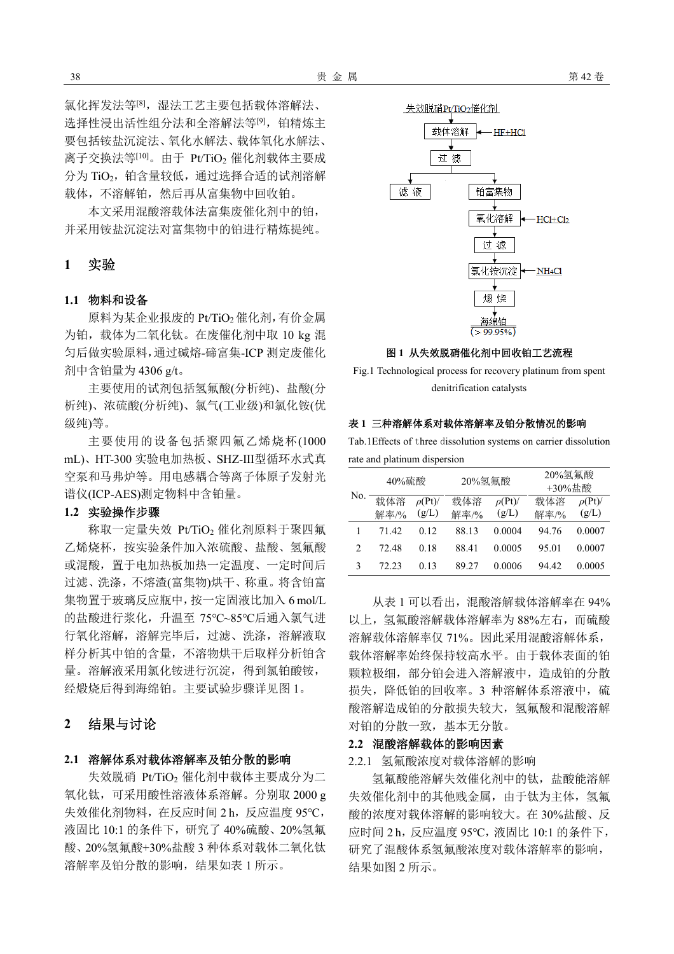氯化挥发法等[8],湿法工艺主要包括载体溶解法、 选择性浸出活性组分法和全溶解法等[9], 铂精炼主 要包括铵盐沉淀法、氧化水解法、载体氧化水解法、 离子交换法等<sup>[10]</sup>。由于 Pt/TiO<sub>2</sub> 催化剂载体主要成 分为 TiO2, 铂含量较低,通过选择合适的试剂溶解 载体,不溶解铂,然后再从富集物中回收铂。

本文采用混酸溶载体法富集废催化剂中的铂, 并采用铵盐沉淀法对富集物中的铂进行精炼提纯。

## **1** 实验

## **1.1** 物料和设备

原料为某企业报废的 Pt/TiO2催化剂,有价金属 为铂,载体为二氧化钛。在废催化剂中取 10 kg 混 匀后做实验原料,通过碱熔-碲富集-ICP 测定废催化 剂中含铂量为 4306 g/t。

主要使用的试剂包括氢氟酸(分析纯)、盐酸(分 析纯)、浓硫酸(分析纯)、氯气(工业级)和氯化铵(优 级纯)等。

主要使用的设备包括聚四氟乙烯烧杯(1000 mL)、HT-300 实验电加热板、SHZ-Ⅲ型循环水式真 空泵和马弗炉等。用电感耦合等离子体原子发射光 谱仪(ICP-AES)测定物料中含铂量。

#### **1.2** 实验操作步骤

称取一定量失效 Pt/TiO<sub>2</sub> 催化剂原料于聚四氟 乙烯烧杯,按实验条件加入浓硫酸、盐酸、氢氟酸 或混酸,置于电加热板加热一定温度、一定时间后 过滤、洗涤,不熔渣(富集物)烘干、称重。将含铂富 集物置于玻璃反应瓶中,按一定固液比加入 6 mol/L 的盐酸进行浆化,升温至 75℃~85℃后通入氯气进 行氧化溶解,溶解完毕后,过滤、洗涤,溶解液取 样分析其中铂的含量,不溶物烘干后取样分析铂含 量。溶解液采用氯化铵进行沉淀,得到氯铂酸铵, 经煅烧后得到海绵铂。主要试验步骤详见图 1。

## **2** 结果与讨论

## **2.1** 溶解体系对载体溶解率及铂分散的影响

失效脱硝 Pt/TiO<sub>2</sub> 催化剂中载体主要成分为二 氧化钛,可采用酸性溶液体系溶解。分别取 2000 g 失效催化剂物料,在反应时间 2h,反应温度 95℃, 液固比 10:1 的条件下,研究了 40%硫酸、20%氢氟 酸、20%氢氟酸+30%盐酸 3 种体系对载体二氧化钛 溶解率及铂分散的影响,结果如表 1 所示。



#### 图 **1** 从失效脱硝催化剂中回收铂工艺流程

Fig.1 Technological process for recovery platinum from spent denitrification catalysts

#### 表 **1** 三种溶解体系对载体溶解率及铂分散情况的影响

Tab.1Effects of three dissolution systems on carrier dissolution rate and platinum dispersion

| No. | 40%硫酸       |                               | 20%氢氟酸      |                     | 20%氢氟酸<br>+30%盐酸 |                     |
|-----|-------------|-------------------------------|-------------|---------------------|------------------|---------------------|
|     | 载体溶<br>解率/% | $\rho(\mathrm{Pt})/$<br>(g/L) | 载体溶<br>解率/% | $\rho(Pt)$<br>(g/L) | 载体溶<br>解率/%      | $\rho(Pt)$<br>(g/L) |
|     | 71.42       | 0.12                          | 88.13       | 0.0004              | 94.76            | 0.0007              |
| 2   | 72.48       | 0.18                          | 88.41       | 0.0005              | 95.01            | 0.0007              |
|     | 72.23       | 0.13                          | 89.27       | 0.0006              | 94.42            | 0.0005              |

从表 1 可以看出,混酸溶解载体溶解率在 94% 以上,氢氟酸溶解载体溶解率为 88%左右,而硫酸 溶解载体溶解率仅 71%。因此采用混酸溶解体系, 载体溶解率始终保持较高水平。由于载体表面的铂 颗粒极细,部分铂会进入溶解液中,造成铂的分散 损失,降低铂的回收率。3 种溶解体系溶液中,硫 酸溶解造成铂的分散损失较大,氢氟酸和混酸溶解 对铂的分散一致,基本无分散。

#### **2.2** 混酸溶解载体的影响因素

2.2.1 氢氟酸浓度对载体溶解的影响

氢氟酸能溶解失效催化剂中的钛,盐酸能溶解 失效催化剂中的其他贱金属,由于钛为主体,氢氟 酸的浓度对载体溶解的影响较大。在 30%盐酸、反 应时间 2 h,反应温度 95℃,液固比 10:1 的条件下, 研究了混酸体系氢氟酸浓度对载体溶解率的影响, 结果如图 2 所示。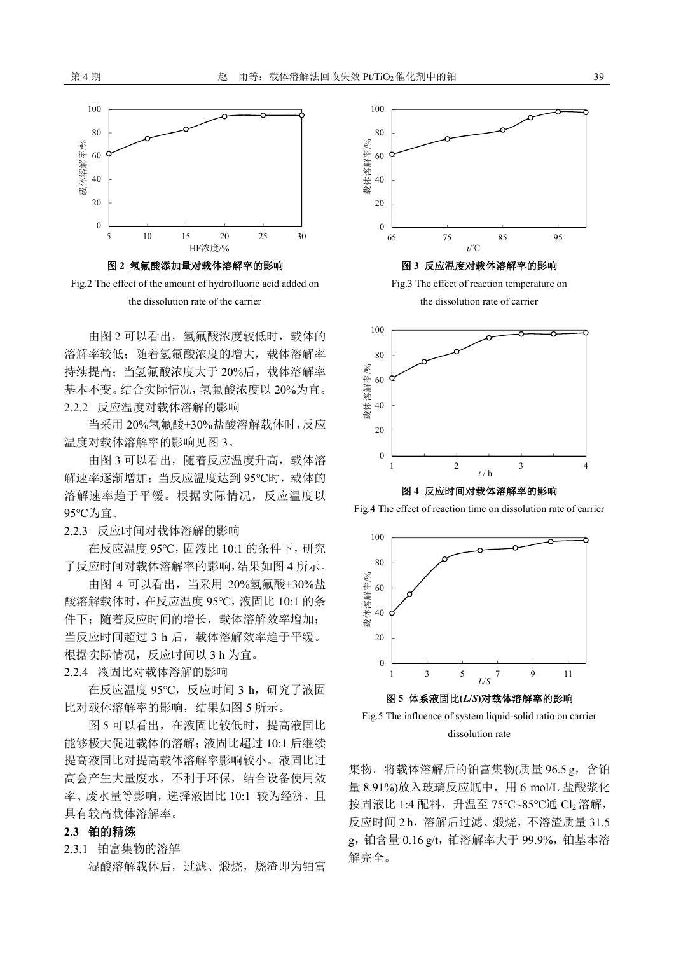





由图 2 可以看出, 氢氟酸浓度较低时, 载体的 溶解率较低;随着氢氟酸浓度的增大,载体溶解率 持续提高;当氢氟酸浓度大于 20%后,载体溶解率 基本不变。结合实际情况,氢氟酸浓度以 20%为宜。 2.2.2 反应温度对载体溶解的影响

当采用 20%氢氟酸+30%盐酸溶解载体时,反应 温度对载体溶解率的影响见图 3。

由图 3 可以看出,随着反应温度升高,载体溶 解速率逐渐增加;当反应温度达到 95℃时,载体的 溶解速率趋于平缓。根据实际情况,反应温度以 95℃为宜。

2.2.3 反应时间对载体溶解的影响

在反应温度 95℃,固液比 10:1 的条件下,研究 了反应时间对载体溶解率的影响,结果如图 4 所示。

由图 4 可以看出,当采用 20%氢氟酸+30%盐 酸溶解载体时,在反应温度 95℃,液固比 10:1 的条 件下;随着反应时间的增长,载体溶解效率增加; 当反应时间超过 3 h 后,载体溶解效率趋于平缓。 根据实际情况,反应时间以 3 h 为宜。

2.2.4 液固比对载体溶解的影响

在反应温度 95℃,反应时间 3 h,研究了液固 比对载体溶解率的影响,结果如图 5 所示。

图 5 可以看出,在液固比较低时,提高液固比 能够极大促进载体的溶解;液固比超过 10:1 后继续 提高液固比对提高载体溶解率影响较小。液固比过 高会产生大量废水,不利于环保,结合设备使用效 率、废水量等影响,选择液固比 10:1 较为经济,且 具有较高载体溶解率。

## **2.3** 铂的精炼

## 2.3.1 铂富集物的溶解

混酸溶解载体后,过滤、煅烧,烧渣即为铂富



Fig.3 The effect of reaction temperature on

the dissolution rate of carrier



Fig.4 The effect of reaction time on dissolution rate of carrier





集物。将载体溶解后的铂富集物(质量 96.5 g, 含铂 量 8.91%)放入玻璃反应瓶中,用 6 mol/L 盐酸浆化 按固液比 1:4 配料,升温至 75℃~85℃通 Cl2溶解, 反应时间 2h, 溶解后过滤、煅烧, 不溶渣质量 31.5 g, 铂含量 0.16 g/t, 铂溶解率大于 99.9%, 铂基本溶 解完全。